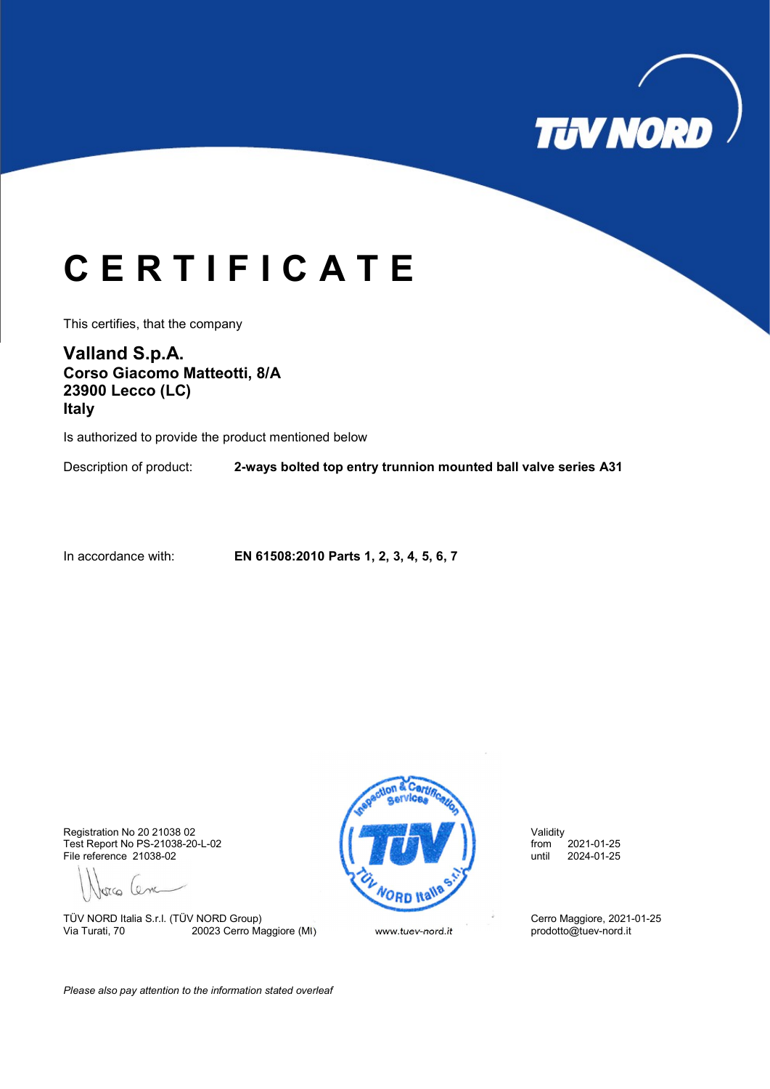

## C E R T I F I C A T E

This certifies, that the company

Valland S.p.A. Corso Giacomo Matteotti, 8/A 23900 Lecco (LC) Italy

Is authorized to provide the product mentioned below

Description of product: **2-ways bolted top entry trunnion mounted ball valve series A31** 

In accordance with: EN 61508:2010 Parts 1, 2, 3, 4, 5, 6, 7

File reference 21038-02

Jorco Cenc

TÜV NORD Italia S.r.l. (TÜV NORD Group)<br>
Via Turati, 70 20023 Cerro Maggiore (MI) Www.tuev-nord.it prodotto@tuev-nord.it prodotto@tuev-nord.it 20023 Cerro Maggiore (MI) www.tuev-nord.it



Please also pay attention to the information stated overleaf